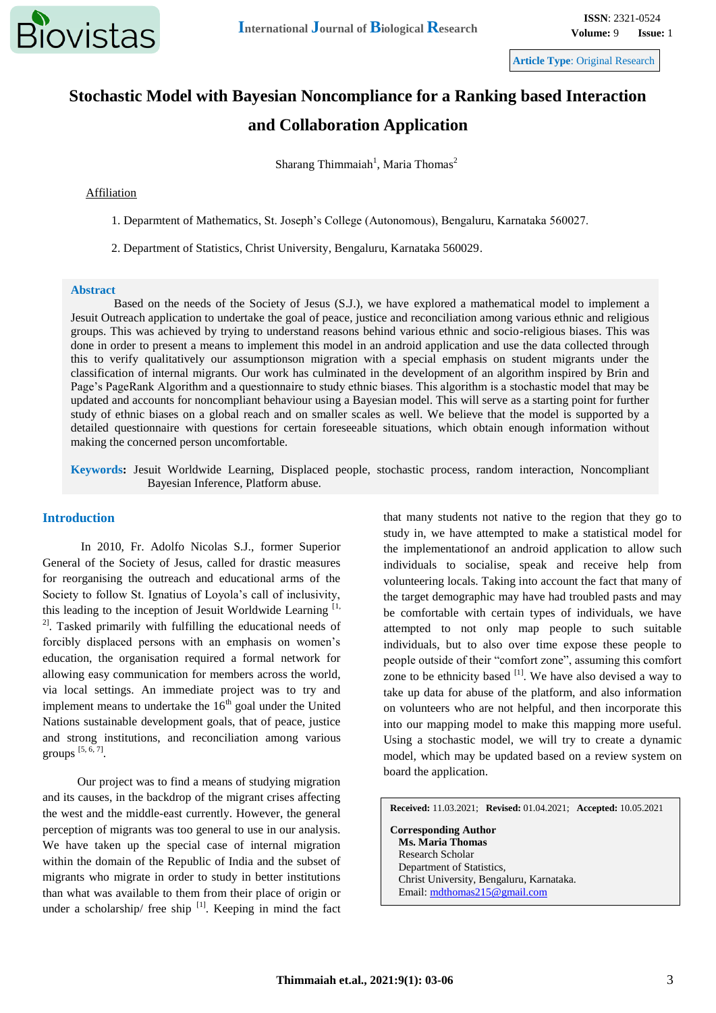

**Article Type**: Original Research

# **Stochastic Model with Bayesian Noncompliance for a Ranking based Interaction and Collaboration Application**

Sharang Thimmaiah<sup>1</sup>, Maria Thomas<sup>2</sup>

## Affiliation

1. Deparmtent of Mathematics, St. Joseph's College (Autonomous), Bengaluru, Karnataka 560027.

2. Department of Statistics, Christ University, Bengaluru, Karnataka 560029.

#### **Abstract**

Based on the needs of the Society of Jesus (S.J.), we have explored a mathematical model to implement a Jesuit Outreach application to undertake the goal of peace, justice and reconciliation among various ethnic and religious groups. This was achieved by trying to understand reasons behind various ethnic and socio-religious biases. This was done in order to present a means to implement this model in an android application and use the data collected through this to verify qualitatively our assumptionson migration with a special emphasis on student migrants under the classification of internal migrants. Our work has culminated in the development of an algorithm inspired by Brin and Page's PageRank Algorithm and a questionnaire to study ethnic biases. This algorithm is a stochastic model that may be updated and accounts for noncompliant behaviour using a Bayesian model. This will serve as a starting point for further study of ethnic biases on a global reach and on smaller scales as well. We believe that the model is supported by a detailed questionnaire with questions for certain foreseeable situations, which obtain enough information without making the concerned person uncomfortable.

**Keywords:** Jesuit Worldwide Learning, Displaced people, stochastic process, random interaction, Noncompliant Bayesian Inference, Platform abuse.

## **Introduction**

In 2010, Fr. Adolfo Nicolas S.J., former Superior General of the Society of Jesus, called for drastic measures for reorganising the outreach and educational arms of the Society to follow St. Ignatius of Loyola's call of inclusivity, this leading to the inception of Jesuit Worldwide Learning [1,  $2^2$ . Tasked primarily with fulfilling the educational needs of forcibly displaced persons with an emphasis on women's education, the organisation required a formal network for allowing easy communication for members across the world, via local settings. An immediate project was to try and implement means to undertake the  $16<sup>th</sup>$  goal under the United Nations sustainable development goals, that of peace, justice and strong institutions, and reconciliation among various groups [5, 6, 7] .

Our project was to find a means of studying migration and its causes, in the backdrop of the migrant crises affecting the west and the middle-east currently. However, the general perception of migrants was too general to use in our analysis. We have taken up the special case of internal migration within the domain of the Republic of India and the subset of migrants who migrate in order to study in better institutions than what was available to them from their place of origin or under a scholarship/ free ship  $\left[1\right]$ . Keeping in mind the fact that many students not native to the region that they go to study in, we have attempted to make a statistical model for the implementationof an android application to allow such individuals to socialise, speak and receive help from volunteering locals. Taking into account the fact that many of the target demographic may have had troubled pasts and may be comfortable with certain types of individuals, we have attempted to not only map people to such suitable individuals, but to also over time expose these people to people outside of their "comfort zone", assuming this comfort zone to be ethnicity based  $[1]$ . We have also devised a way to take up data for abuse of the platform, and also information on volunteers who are not helpful, and then incorporate this into our mapping model to make this mapping more useful. Using a stochastic model, we will try to create a dynamic model, which may be updated based on a review system on board the application.

**Received:** 11.03.2021; **Revised:** 01.04.2021; **Accepted:** 10.05.2021 **Corresponding Author Ms. Maria Thomas** Research Scholar Department of Statistics, Christ University, Bengaluru, Karnataka. Email: [mdthomas215@gmail.com](mailto:mdthomas215@gmail.com)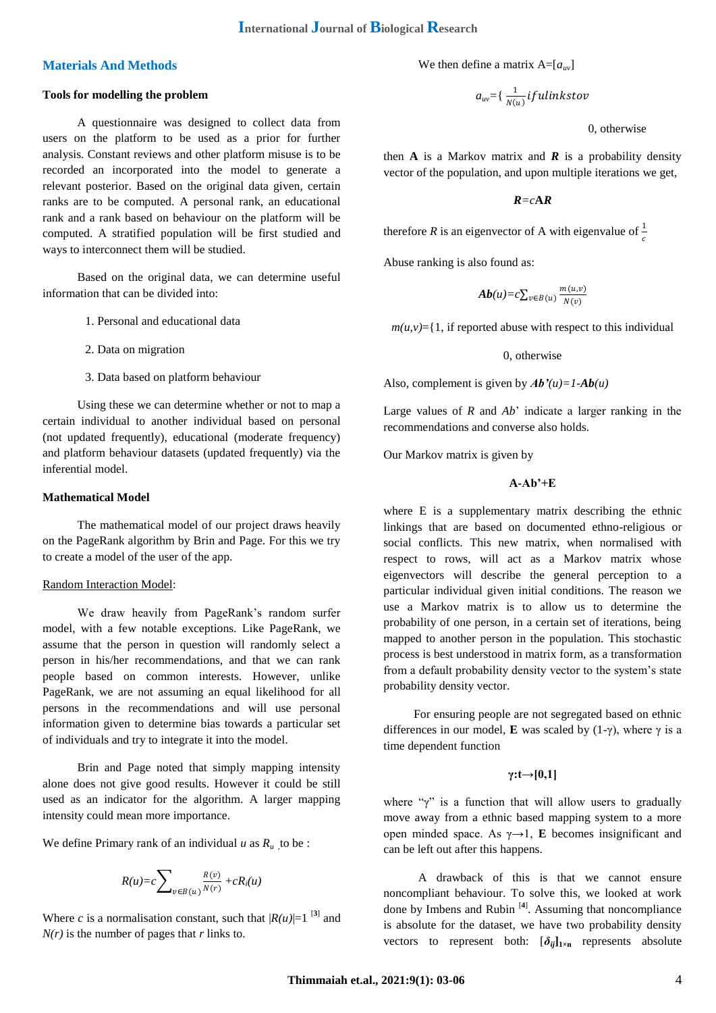## **Materials And Methods**

#### **Tools for modelling the problem**

A questionnaire was designed to collect data from users on the platform to be used as a prior for further analysis. Constant reviews and other platform misuse is to be recorded an incorporated into the model to generate a relevant posterior. Based on the original data given, certain ranks are to be computed. A personal rank, an educational rank and a rank based on behaviour on the platform will be computed. A stratified population will be first studied and ways to interconnect them will be studied.

Based on the original data, we can determine useful information that can be divided into:

- 1. Personal and educational data
- 2. Data on migration
- 3. Data based on platform behaviour

Using these we can determine whether or not to map a certain individual to another individual based on personal (not updated frequently), educational (moderate frequency) and platform behaviour datasets (updated frequently) via the inferential model.

#### **Mathematical Model**

The mathematical model of our project draws heavily on the PageRank algorithm by Brin and Page. For this we try to create a model of the user of the app.

#### Random Interaction Model:

We draw heavily from PageRank's random surfer model, with a few notable exceptions. Like PageRank, we assume that the person in question will randomly select a person in his/her recommendations, and that we can rank people based on common interests. However, unlike PageRank, we are not assuming an equal likelihood for all persons in the recommendations and will use personal information given to determine bias towards a particular set of individuals and try to integrate it into the model.

Brin and Page noted that simply mapping intensity alone does not give good results. However it could be still used as an indicator for the algorithm. A larger mapping intensity could mean more importance.

We define Primary rank of an individual  $u$  as  $R_u$  to be :

$$
R(u) = c \sum_{v \in B(u)} \frac{R(v)}{N(r)} + cR_i(u)
$$

Where *c* is a normalisation constant, such that  $|R(u)|=1$  <sup>[3]</sup> and *N(r)* is the number of pages that *r* links to.

We then define a matrix  $A = [a_{uv}]$ 

 $a_{\mathit{uv}}$ ={  $\frac{1}{\mathit{N(u)}}$  if  $\mathit{ulinkstov}$ 

0, otherwise

then **A** is a Markov matrix and **R** is a probability density vector of the population, and upon multiple iterations we get,

*R=c***A***R*

therefore *R* is an eigenvector of A with eigenvalue of  $\frac{1}{c}$ 

Abuse ranking is also found as:

$$
Ab(u)=c\sum_{v\in B(u)}\frac{m(u,v)}{N(v)}
$$

 $m(u, v) = \{1, \text{ if reported abuse with respect to this individual}$ 

0, otherwise

Also, complement is given by  $Ab'(u)=1$ - $Ab(u)$ 

Large values of *R* and *Ab*' indicate a larger ranking in the recommendations and converse also holds.

Our Markov matrix is given by

#### **A-Ab'+E**

where E is a supplementary matrix describing the ethnic linkings that are based on documented ethno-religious or social conflicts. This new matrix, when normalised with respect to rows, will act as a Markov matrix whose eigenvectors will describe the general perception to a particular individual given initial conditions. The reason we use a Markov matrix is to allow us to determine the probability of one person, in a certain set of iterations, being mapped to another person in the population. This stochastic process is best understood in matrix form, as a transformation from a default probability density vector to the system's state probability density vector.

 For ensuring people are not segregated based on ethnic differences in our model, **E** was scaled by (1-γ), where γ is a time dependent function

## **γ:t→[0,1]**

where " $\gamma$ " is a function that will allow users to gradually move away from a ethnic based mapping system to a more open minded space. As γ→1, **E** becomes insignificant and can be left out after this happens.

A drawback of this is that we cannot ensure noncompliant behaviour. To solve this, we looked at work done by Imbens and Rubin [**4**] . Assuming that noncompliance is absolute for the dataset, we have two probability density vectors to represent both:  $[\delta_{ij}]_{1\times n}$  represents absolute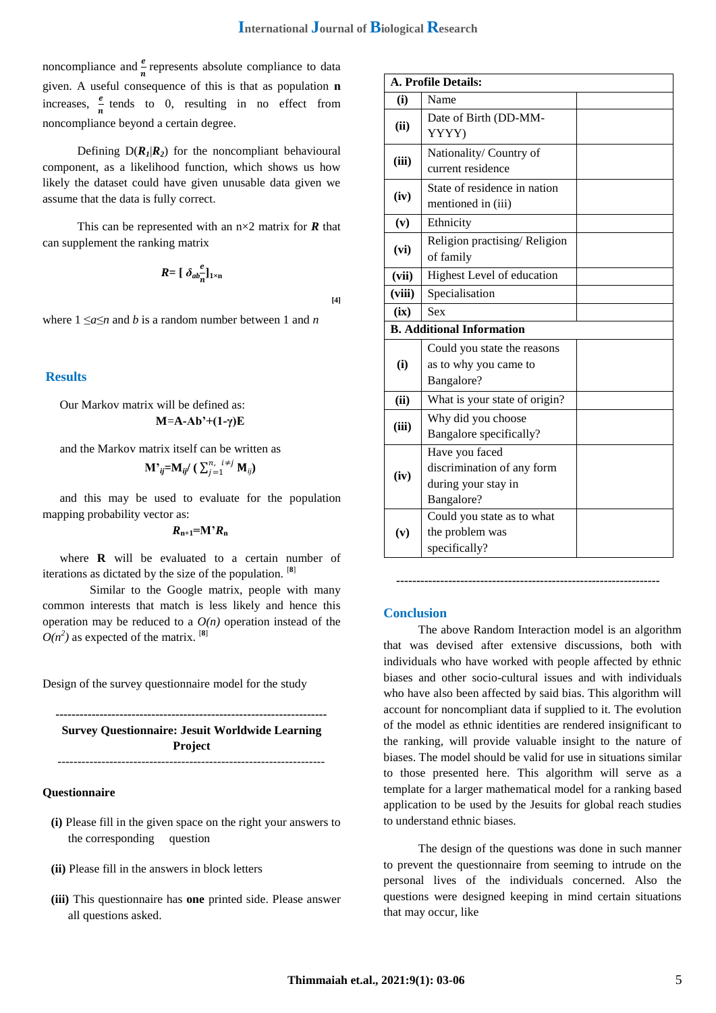noncompliance and  $\frac{e}{n}$  represents absolute compliance to data given. A useful consequence of this is that as population **n**  increases,  $\frac{e}{n}$  tends to 0, resulting in no effect from noncompliance beyond a certain degree.

Defining  $D(R_1|R_2)$  for the noncompliant behavioural component, as a likelihood function, which shows us how likely the dataset could have given unusable data given we assume that the data is fully correct.

This can be represented with an  $n \times 2$  matrix for *R* that can supplement the ranking matrix

$$
R = [\delta_{ab} \frac{e}{n}]_{1 \times n}
$$

**[4]**

where  $1 \le a \le n$  and *b* is a random number between 1 and *n* 

# **Results**

Our Markov matrix will be defined as: **M**=**A-Ab'+(1-γ)E**

and the Markov matrix itself can be written as  $\mathbf{M}$ <sup>,</sup> $_{ij}$ = $\mathbf{M}_{ij}$ / (  $\sum_{j=1}^{n,~~i\neq j}\mathbf{M}_{ij}$ )

and this may be used to evaluate for the population mapping probability vector as:

 $R_{n+1} = M'R_n$ 

where **R** will be evaluated to a certain number of iterations as dictated by the size of the population. [**8**]

 Similar to the Google matrix, people with many common interests that match is less likely and hence this operation may be reduced to a  $O(n)$  operation instead of the  $O(n^2)$  as expected of the matrix. <sup>[8]</sup>

Design of the survey questionnaire model for the study

**--------------------------------------------------------------------**

**Survey Questionnaire: Jesuit Worldwide Learning Project** -------------------------------------------------------------------

#### **Questionnaire**

- **(i)** Please fill in the given space on the right your answers to the corresponding question
- **(ii)** Please fill in the answers in block letters
- **(iii)** This questionnaire has **one** printed side. Please answer all questions asked.

| <b>A. Profile Details:</b>       |                                                                                   |  |
|----------------------------------|-----------------------------------------------------------------------------------|--|
| (i)                              | Name                                                                              |  |
| (ii)                             | Date of Birth (DD-MM-<br>YYYY)                                                    |  |
| (iii)                            | Nationality/ Country of<br>current residence                                      |  |
| (iv)                             | State of residence in nation<br>mentioned in (iii)                                |  |
| (v)                              | Ethnicity                                                                         |  |
| (vi)                             | Religion practising/Religion<br>of family                                         |  |
| (vii)                            | Highest Level of education                                                        |  |
| (viii)                           | Specialisation                                                                    |  |
| (ix)                             | Sex                                                                               |  |
| <b>B.</b> Additional Information |                                                                                   |  |
| (i)                              | Could you state the reasons<br>as to why you came to<br>Bangalore?                |  |
| (ii)                             | What is your state of origin?                                                     |  |
| (iii)                            | Why did you choose<br>Bangalore specifically?                                     |  |
| (iv)                             | Have you faced<br>discrimination of any form<br>during your stay in<br>Bangalore? |  |
| (v)                              | Could you state as to what<br>the problem was<br>specifically?                    |  |

#### **Conclusion**

The above Random Interaction model is an algorithm that was devised after extensive discussions, both with individuals who have worked with people affected by ethnic biases and other socio-cultural issues and with individuals who have also been affected by said bias. This algorithm will account for noncompliant data if supplied to it. The evolution of the model as ethnic identities are rendered insignificant to the ranking, will provide valuable insight to the nature of biases. The model should be valid for use in situations similar to those presented here. This algorithm will serve as a template for a larger mathematical model for a ranking based application to be used by the Jesuits for global reach studies to understand ethnic biases.

**------------------------------------------------------------------**

The design of the questions was done in such manner to prevent the questionnaire from seeming to intrude on the personal lives of the individuals concerned. Also the questions were designed keeping in mind certain situations that may occur, like